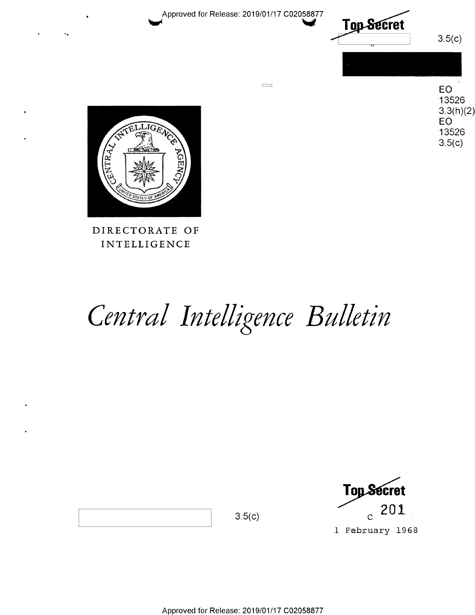

DIRECTORATE OF DIRECTORATE OF **INTELLIGENCE** 

# Central Intelligence Bulletin

 $\frac{1}{\sqrt{100}}$   $\frac{1}{\sqrt{100}}$   $\frac{1}{\sqrt{100}}$   $\frac{1}{\sqrt{100}}$ Top Secret  $_{\rm 3.5(c)}$   $_{\rm c}$  201.

l February 1968 1 February 1968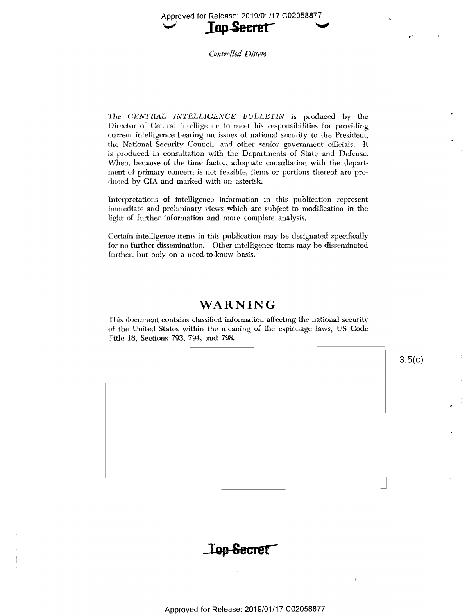Approved for Release: 2019/01/17 002058877  $Tan$  Secret

Controlled Dissem

 $The \ \ \textit{CENTRAL} \ \ \textit{INTELLIGENCE} \ \ \textit{BULLETIN} \ \ \ \text{is produced} \ \ \text{by} \ \ \text{the}$ Director of Central Intelligence to meet his responsibilities for providing iDireetor of Central Intelligence to meet his responsibilities for providing current intelligence bearing on issues of national security to the President, the National Security Council, and other senior government officials. It the National Security Council, and other senior govemment officials. It is produced in consultation with the Departments of State and Defense. is Produced in consultation with the Departments of State and Defense. When, because of the time factor, adequate consultation with the depart- When, because of the time factor, adequate consultation with the depart- ment of primary concern is not feasible, items or portions thereof are produced by CIA and marked with an asterisk.

lntcrpretations of intelligence information in this publication represent leterpretatiens 0fintelligence infonnation in this publicaticn represent immediate and preliminary views which are subject to modification in the light of further information and more complete analysis.

Certain intelligence items in this publication may be designated specifically for no further dissemination. Other intelligence items may be disseminated further, but only on a need-to-know basis.

## WARNING

This document contains classified information affecting the national security This document contains classified information affecting the national security of the United States within the meaning of the espionage laws, US Code Title 18, Sections 793, 794, and 798.

 $3.5(c)$ 

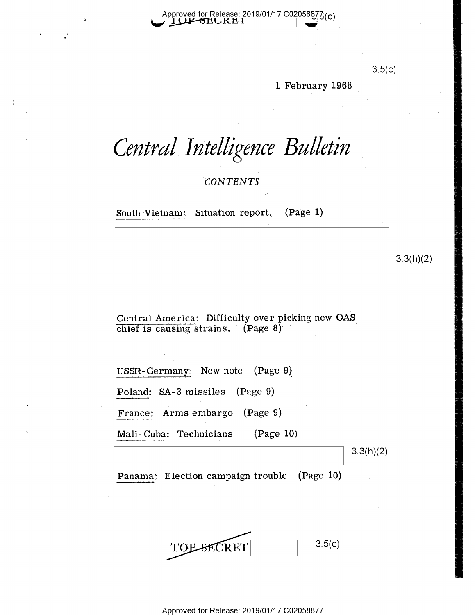Approved for Release: 2019/01/17 C0205887 $7/_{\rm (C)}$ Approved for Release: 2019/01/17 C02058877 Approved for Release: 2019/01/17 C02058877 $\mathcal{L}(c)$ <br> $\blacksquare$ 

1 February 1968 1 February 1968 \_  $\overline{\qquad}$  3.5(c)

## *Central Intelligence Bulletin*  Central Intelligence Bulletin 1

*CONTENTS*  CONTENTS

 $\quad$  South Vietnam: Situation report.  $\quad$  (Page 1)  $\quad$ 

 $3.3(h)(2)$ 

Central America: Difficulty over picking new **OAS**  Central America: Difficulty-over picking new OAS.  $\frac{1}{\pi}$  chief is causing strains. (Page 8)

USSR-Germany: New note (Page 9) Poland: SA-3 missiles (Page 9) Poland: SA-3 missiles (Page-9) France: Arms embargo (Page 9} France: Arms embargo (Page '9) Mali-Cuba: Technicians (Page 10), wh

3.3(h)(2) 3.3(h)(2)

Panama: Election campaign trouble (Page 10} Panama: Election campaign trouble (Page -10)

3.5(c) TOP SECRET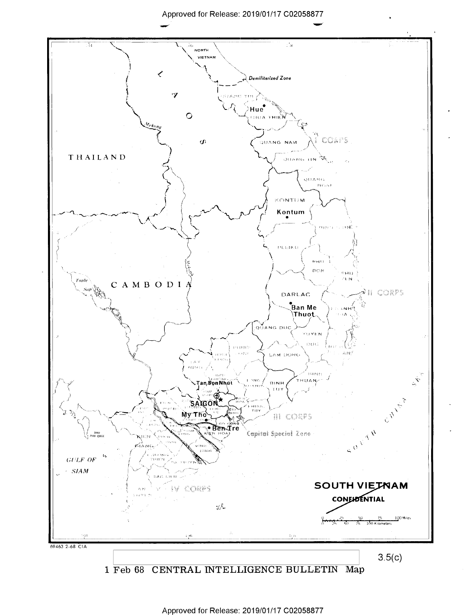**View Service** 



1 Feb 68 CENTRAL INTELLIGENCE BULLETIN Map 1 Feb 68 CENTRAL INTELLIGENCE BULLETIN Map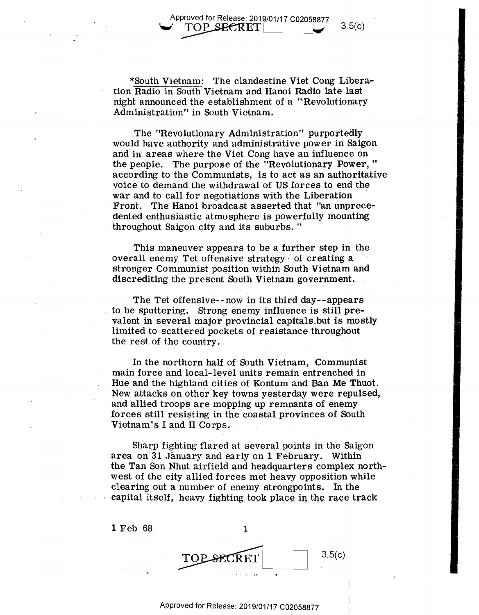Approved for Release: 2019/01/17 C02058877 Approved for Release: 2019/01/17 C02058877<br>
FOP SECRET

\*South Vietnam: The clandestine Viet Cong Libera-\*South Vietnam: The clandestine Viet Cong Libera tion Radio in South Vietnam and Hanoi Radio late last tion Radio in South Vietnam and Hanoi Radio late last night announced the establishment of a "Revolutionary Administration" in South Vietnam. Administration" in South Vietnam.

The "Revolutionary Administration" purportedly The "Revolutionary Administration" purportedly would have authority and administrative power in Saigon would have authority and administrative power in Saigon and in areas where the Viet Cong have an influence on the people. The purpose of the "Revolutionary Power, " the people. The purpose of the "Revolutionary Power, " according to the Communists, is to act as an authoritative according to the Communists, is to act as an authoritative voice to demand the withdrawal of US forces to end the voice to demand the withdraWal of US ferces to end the war and to call for negotiations with the Liberation war and to call for negotiations with the Liberation Front. The Hanoi broadcast asserted that "an unprece- Front. The. Hanoi broadcast asserted that "an unprece dented enthusiastic atmosphere is powerfully mounting dented enthusiastic atmosphere is powerfully mounting throughout Saigon city and its suburbs. "

This maneuver appears to be a further step in the This maneuver appearsto be <sup>a</sup> further step in the overall enemy Tet offensive strategy  $^{\circ}$  of creating a  $^$ stronger Communist position within South Vietnam and stronger Communist position within South Vietnam and discrediting the present South Vietnam government.

The Tet offensive--now in its third day--appears The Tet offensive—mow in its third day—-appears to be sputtering. Strong enemy influence is still prevalent in several major provincial capitals but is mostly limited to scattered pockets of resistance throughout limited to scattered pockets of resistance throughout the rest of the country. the rest of the country.

In the northern half of South Vietnam, Communist In the northern half of South Vietnam, Communist main force and local-level units remain entrenched in main force and local—level units remain entrenched in Hue and the highland cities of Kontum and Ban Me Thuot. New attacks on other key towns yesterday were repulsed, New attacks on other key towns yesterday were repulsed, and allied troops are mopping up remnants of enemy and allied troops are mopping up remnants of enemy forces still resisting in the coastal provinces of South forces still resisting in the coastal provinces of South Vietnam's I and II Corps. Vietnam's land 11 Corps. \_ . \_ - -

Sharp fighting flared at several points in the Saigon Sharp fighting flared at; several points inthe Saigon area on 31 January and early on 1 February. Within the Tan Son Nhut airfield and headquarters complex northwest of the city allied forces met heavy opposition while west of the city allied forces met heavy opposition while clearing out a number of enemy strongpoints. In the capital itself, heavy fighting took place in the race track

| 1 Feb 68 |           |        |
|----------|-----------|--------|
|          | TOPSECRET | 3.5(c) |
|          | $\pm 1$   |        |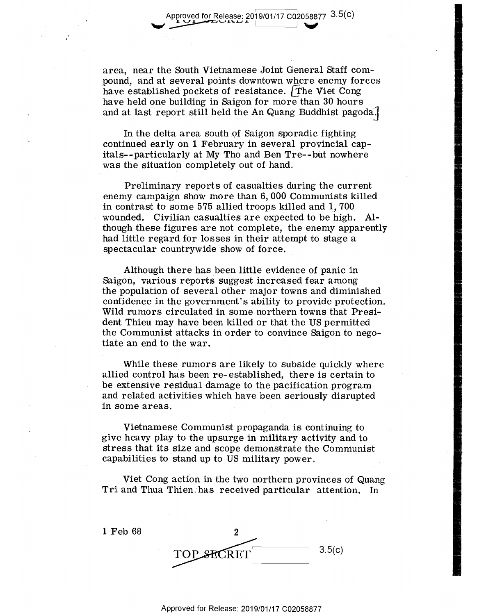area, near the South Vietnamese Joint General Staff com-area, near the South Vietnamese Joint General Staff com pound, and at several points downtown where enemy forces pound, and at several points downtown where. enemy forces  ${\rm have~e}$ stablished pockets of resistance.  ${\rm \vec{T}}$ he Viet Cong have held one building in Saigon for more than 30 hours have held one building in Saigon for more than 30 hours . and at last report still held the An Quang Buddhist pagoda. $\overline{\phantom{a}}$ 

Approved for Release: 2019/01/17 C02058877 3.5(c)

In the delta area south of Saigon sporadic fighting continued early on 1 February in several provincial cap-continued early on1 February in several provincial capitals--particularly at My Tho and Ben Tre--but nowhere itals—-particular1y at My Tho and Ben Tre—-but nowhere was the situation completely out of hand, was the situation completely out of hand. '

Preliminary reports of casualties during the current Preliminary reports of casualties during the current enemy campaign show more than 6, 000 Communists killed enemy campaign show more than 6, 000 Communists killed in contrast to some 575 allied troops killed and  $1,\,700$ wounded. Civilian casualties are expected to be high. Al- wounded. Civilian casualties are expected to be high. Although these figures are not complete, the enemy apparently though these figures are not complete, the enemy apparently had little regard for losses in their attempt to stage a had little regard for losses in their attempt to stage <sup>a</sup> spectacular countrywide show of force. spectacular countrywide show of ferce. . '

Although there has been little evidence of panic in Although there has been little evidence of panic in Saigon, various reports suggest increased fear among Saigon, various reportssuggestincreased fear among the population of several other major towns and diminished confidence in the government's ability to provide protection. Wild rumors circulated in some northern towns that Presi-Wild rumOrs circulated in some northern towns that President Thieu may have been killed or that the US permitted dent Thieu may have been killed orthat the US permitted the Communist attacks in order to convince Saigon to nego-the Communist attacks in order to convince Saigon to negotiate an end to the war. tiate an end to the war. '

While these rumors are likely to subside quickly where While these rumors are likely to subside quickly where allied control has been re- established, there is certain to allied control has been re—established, there is certain to be extensive residual damage to the pacification program be extensive residual damage to the pacification program and related activities which have been seriously disrupted and related activities which have been seriously disrupted in some areas.

Vietnamese Communist propaganda is continuing to give heavy play to the upsurge in military activity and to give heavy play to the upsurge in military activity and to stress that its size and scope demonstrate the Communist stress that its size and scope demonstrate the Communist capabilities to stand up to US military power. capabilities to stand up to US military power.

Viet Cong action in the two northern provinces of Quang Viet Cong action in the two northern provinces of Quang Tri and Thua Thien has received particular attention. In

1 Feb 68 2 1 Feb 68 2 3.5(c) TOP REfl [388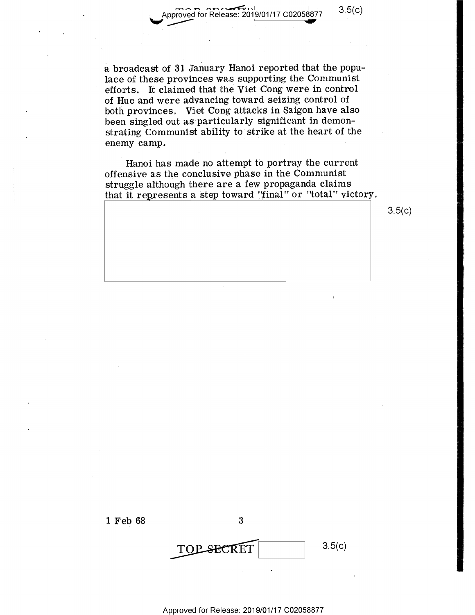$\sum_{\text{proved for Release 2019}}$ Approved for Release: 2019/01/17 C02058877 3.5

 $\overline{\phantom{a}}$  . It is in the set of  $\overline{\phantom{a}}$ 

w

a broadcast of **31** January Hanoi reported that the popu-<sup>a</sup> broadcast of 31 January Hanoi reported that the popu lace of these provinces was supporting the Communist lace of'these provinces 'was supporting the Communist efforts. It claimed that the Viet Cong were in control of Hue and were advancing toward seizing control of of Hue and were advancing toward seizing control of both provinces. Viet Cong attacks in Saigon have also been singled out as particularly significant in demon-been singled out asparticularly significant in demon strating Communist ability to strike at the heart of the enemy camp.  $\blacksquare$ 

Hanoi has made no attempt to portray the current Hanoi has made no attempt to portray the current offensive as the conclusive phase in the Communist offensive as the conclusive phase in the Communist struggle although there are a few propaganda claims struggle although there are <sup>a</sup> few propaganda claims that it represents a step toward "final" or "total" victory.

 $3.5(c)$ 



3<br>TOP SECRET 3.5(c) OP SECRET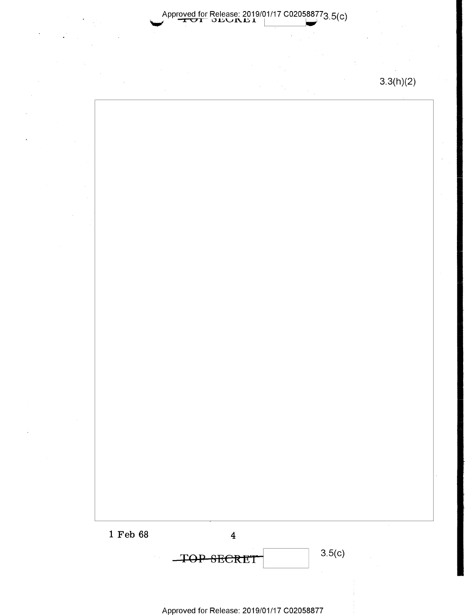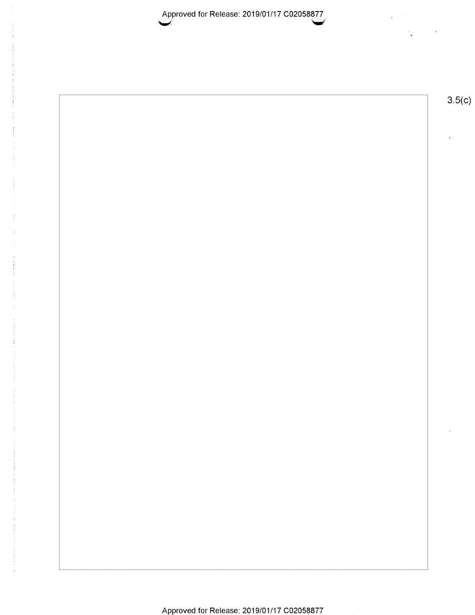Approved for Release: 2019/01/17 C02058877 ~ ~ Approved for Release: 2019/01/17 <sup>002058877</sup>

 $\mathcal{A}^{\pm}$  $\mathcal{L}_{\mathbf{z}}$  $\sim$ 

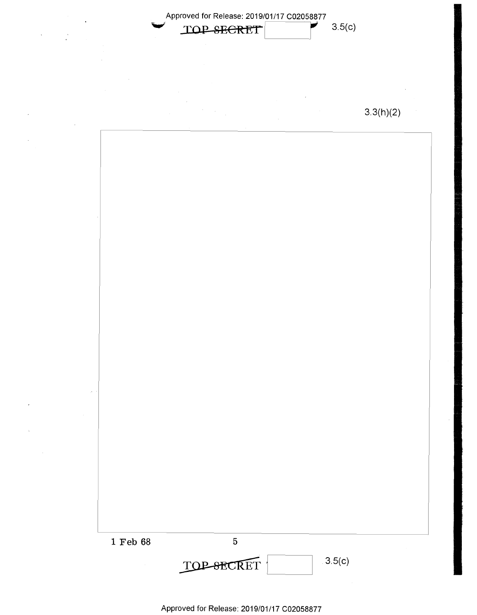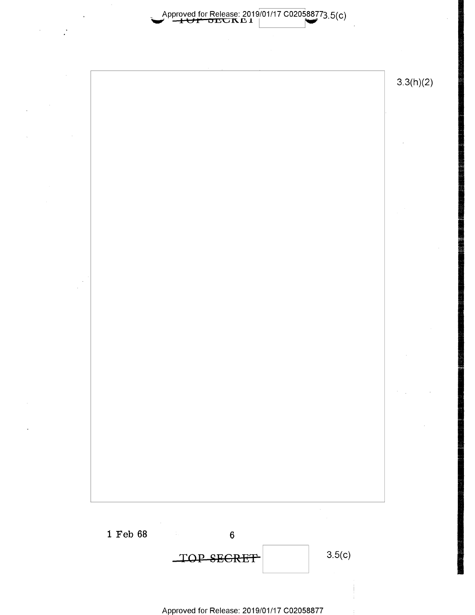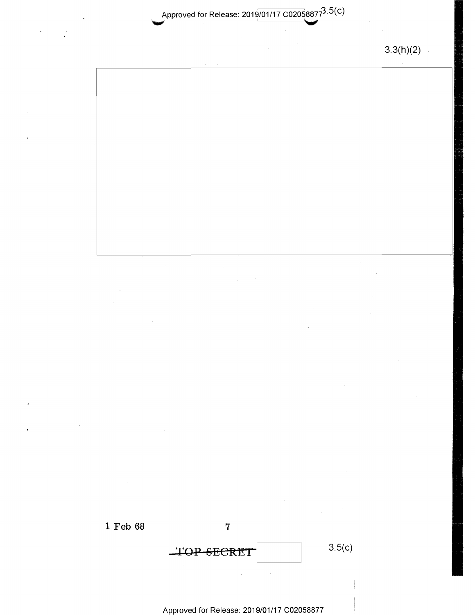Approved for Release: 2019/01/17 C02058877<sup>3.3(C)</sup>

3.3(h)(2) 3.3(h)(2)  $\mathcal{L}^{\mathcal{L}}$ 

 $\bar{\mathcal{A}}$ 

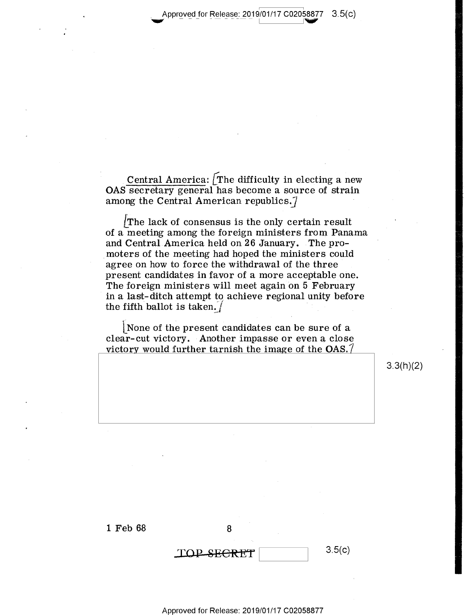Approved for Release: 2019/01/17 C02058877 3.5(c)

\_ \_ \_ ' V

version and the second second second second second second second second second second second second second second second second second second second second second second second second second second second second second sec

Central America: [The difficulty in electing a new OAS secretary general has become a source of strain OAS Secretary general has become <sup>a</sup> source of strain among the Central American republics. $\vec{\textit{\i}}$ 

*LThe* lack of consensus is the only certain result LThe lack of consensus is the only certain result of a meeting among the foreign ministers from Panama of. <sup>a</sup> meeting among the foreign ministers from Panama and Central America held on 26 January. The pro-and Central America held on 26 January. .The pro moters of the meeting had hoped the ministers could \_moters of the meeting had hoped the ministers could agree on how to force the withdrawal of the three agree on how to force the withdrawal of the three ' present candidates in favor of a more acceptable one. present candidates in favor of <sup>a</sup> more acceptableone. The foreign ministers will meet again on 5 February The foreign ministers will meet againbn 5 February in a last-ditch attempt to achieve regional unity before the fifth ballot is taken.  $\int$ 

L None of the present candidates can be sure of a [None of the present Candidates can be sure of <sup>a</sup> clear-cut victory. Another impasse or even a close victorv would further tarnish the image of the *OAS.1*  victory would further tarnish the image of the OAS.7

3.3(h)(2) 3.3(h)(2)

1 Feb 68 8

 $\text{TOP-SEERET}$  3.5(c)

3.5(c)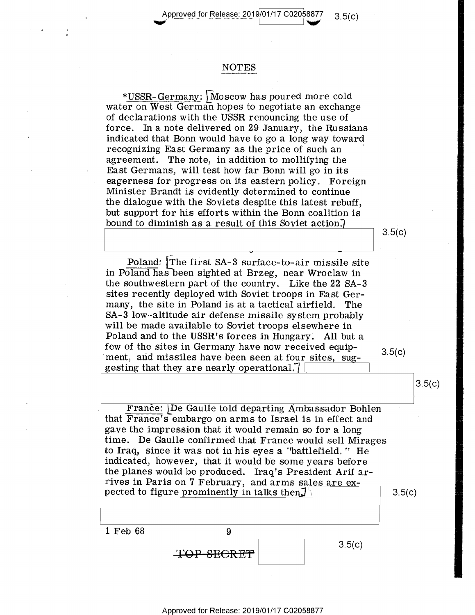$\frac{1}{2}$  Approved for Release: 2019/01/17 C02058877 3.5(c)

### NOTES NOTES

 $*\overline{\text{USSR-Germany}}$ : Moscow has poured more cold water on West German hopes to negotiate an exchange water on West. German hopes to negotiate an exchange of declarations with the USSR renouncing the use of  $\,$ force. In a note delivered on 29 January, the Russians indicated that Bonn would have to go a long way toward indicated that Bonn would have to go <sup>a</sup> long way toward  ${\bf recognizing\ East\ Germany\ as\ the\ price\ of\ such\ an\ }$ agreement. The note, in addition to mollifying the East Germans, will test how far Bonn will go in its East Germans? will test how far Bonn will go in its eagerness for progress on its eastern policy. Foreign eagerness for progress on its eastern policy. Foreign. Minister Brandt is evidently determined to continue . Minister Brandt is evidently determined to continue the dialogue with the Soviets despite this latest rebuff, the dialogue with the Soviets despitethis latest rebuff, but support for his efforts within the Bonn coalition is bound to diminish as a result of this Soviet action.)  $3.5(c)$ 

 $\texttt{Poland}:$  The first SA-3 surface-to-air missile site in Poland has been sighted at Brzeg, near Wroclaw in the southwestern part of the country, Like the 22 SA-3 the southwestern part of the country, Like the 22 SA-3 sites recently deployed with Soviet troops in East Ger-. sites recently deployed with Soviet troops in East Germany, the site in Poland is at a tactical airfield, The many, the site in Poland is at <sup>a</sup> tactical airfield, The SA-3 low-altitude air defense missile system probably SA-3 low—altitude air defense missile system probably will be made available to Soviet troops elsewhere in will be made available to Soviet troops elsewhere in Poland and to the USSR's forces in Hungary. All but a few of the sites in Germany have now received equip-<br> $3.5(c)$ ment, and missiles have been seen at four sites, sug- $3.5(c)$ gesting that they are nearly operational.  $\sqrt{2\pi i \left( \frac{1}{2} \right)^2 + \left( \frac{1}{2} \right)^2 + \left( \frac{1}{2} \right)^2}$ 

-

3.5(c)

3.5(c)

 $3.5(c)$ 

France: De Gaulle told departing Ambassador Bohlen that France's embargo on arms to Israel is in effect and that Francefs embargo on arms to Israel is in effect and gave the impression that it would remain so for a long gave the impression that it would remain so for a. long time. De Gaulle confirmed that France would sell Mirages to Iraq, since it was not in his eyes a "battlefield. 11 He to Iraq, since it was not in his eyes <sup>a</sup> "battlefield, " He indicated, however, that it would be some years before the planes would be produced. Iraq's President Arif arrives in Paris on 7 February, and arms sales are expected to figure prominently in talks then,  $\frac{1}{2}$   $\frac{3.5(c)}{a}$ 

1 Feb 68 9 1 Feb 68 9  $\begin{array}{c|c} \mathbf{9} & \mathbf{3.5(c)} \ \hline \end{array}$  $3.5(c)$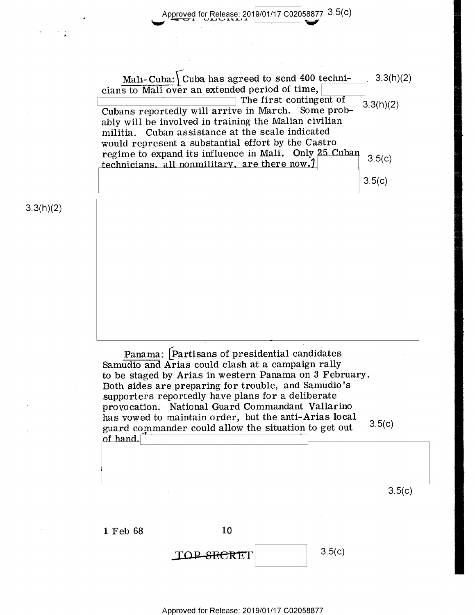Approved for Release: 2019/01/17 C02058877 3.5(C)

 $\text{Mali-Cuba:}$  Cuba has agreed to send 400 techni- . 3.3(h)(2)  $\frac{\text{main-Cuola:}}{\text{cians to Mali over an extended period of time,}}$ <br>The first contingent of 3.3(h)(2) cians to Mali over an extended period of time,  $\boxed{\phantom{\big(}\phantom{\big)}}$ <br>The first contingent of  $\phantom{\big(}\phantom{\big)}$  3.3(h)(2) Cubans reportedly will arrive in March. Some probably will be involved in training the Malian civilian ably will be involved in training the Malian civilian militia. Cuban assistance at the scale indicated militia. Cuban assistance at the scale indicated 3.3(h)(2) would represent a substantial effort by the Castro would represen<sup>t</sup> <sup>a</sup> substantial effort by the Castro regime to expand its influence in Mali. Only 25 Cuban  $\frac{1}{3}$  5(c) regnie to expand its influence in  $\frac{m}{1}$   $\frac{m}{2}$   $\frac{m}{2}$  (c) the there now.  $\frac{1}{2}$  (c)  $3.5(c)$ The first contingent of

3.3(h)(2)

Panama: Partisans of presidential candidates Samudio and Arias could clash at a campaign rally to be staged by Arias in western Panama on 3 February. to be staged by Arias in western Panama on <sup>3</sup> February. Both sides are preparing for trouble, and Samudio 's Both sides are preparing for tr0ub1e-, and Samudio's supporters reportedly have plans for a deliberate supporters reportedly have plans for <sup>a</sup> deliberate provocation. National Guard Commandant Vallarino provocation. National Guard Commandant Vallarino has vowed to maintain order, but the anti-Arias local has vowed to maintain order, but the anti—Arias local  $\frac{1}{2}$  3.5(c) distribution of manufacture could allow the situation to get out 3.  $3.5(c)$ '. of hand.

 $3.5(c)$ 

1 Feb 68 10

 $\boxed{\text{TOP-SEERET}}$  3.5(c)